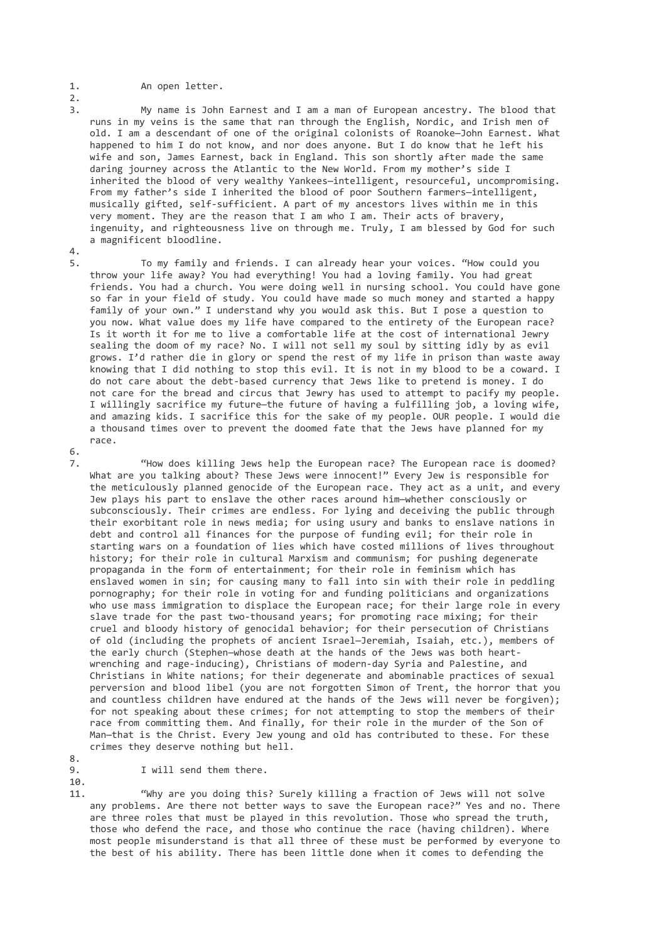- 1. An open letter.
- 2.

3. My name is John Earnest and I am a man of European ancestry. The blood that runs in my veins is the same that ran through the English, Nordic, and Irish men of old. I am a descendant of one of the original colonists of Roanoke—John Earnest. What happened to him I do not know, and nor does anyone. But I do know that he left his wife and son, James Earnest, back in England. This son shortly after made the same daring journey across the Atlantic to the New World. From my mother's side I inherited the blood of very wealthy Yankees—intelligent, resourceful, uncompromising. From my father's side I inherited the blood of poor Southern farmers—intelligent, musically gifted, self-sufficient. A part of my ancestors lives within me in this very moment. They are the reason that I am who I am. Their acts of bravery, ingenuity, and righteousness live on through me. Truly, I am blessed by God for such a magnificent bloodline.

4.

5. To my family and friends. I can already hear your voices. "How could you throw your life away? You had everything! You had a loving family. You had great friends. You had a church. You were doing well in nursing school. You could have gone so far in your field of study. You could have made so much money and started a happy family of your own." I understand why you would ask this. But I pose a question to you now. What value does my life have compared to the entirety of the European race? Is it worth it for me to live a comfortable life at the cost of international Jewry sealing the doom of my race? No. I will not sell my soul by sitting idly by as evil grows. I'd rather die in glory or spend the rest of my life in prison than waste away knowing that I did nothing to stop this evil. It is not in my blood to be a coward. I do not care about the debt-based currency that Jews like to pretend is money. I do not care for the bread and circus that Jewry has used to attempt to pacify my people. I willingly sacrifice my future—the future of having a fulfilling job, a loving wife, and amazing kids. I sacrifice this for the sake of my people. OUR people. I would die a thousand times over to prevent the doomed fate that the Jews have planned for my race.

6.

7. "How does killing Jews help the European race? The European race is doomed? What are you talking about? These Jews were innocent!" Every Jew is responsible for the meticulously planned genocide of the European race. They act as a unit, and every Jew plays his part to enslave the other races around him—whether consciously or subconsciously. Their crimes are endless. For lying and deceiving the public through their exorbitant role in news media; for using usury and banks to enslave nations in debt and control all finances for the purpose of funding evil; for their role in starting wars on a foundation of lies which have costed millions of lives throughout history; for their role in cultural Marxism and communism; for pushing degenerate propaganda in the form of entertainment; for their role in feminism which has enslaved women in sin; for causing many to fall into sin with their role in peddling pornography; for their role in voting for and funding politicians and organizations who use mass immigration to displace the European race; for their large role in every slave trade for the past two-thousand years; for promoting race mixing; for their cruel and bloody history of genocidal behavior; for their persecution of Christians of old (including the prophets of ancient Israel—Jeremiah, Isaiah, etc.), members of the early church (Stephen—whose death at the hands of the Jews was both heartwrenching and rage-inducing), Christians of modern-day Syria and Palestine, and Christians in White nations; for their degenerate and abominable practices of sexual perversion and blood libel (you are not forgotten Simon of Trent, the horror that you and countless children have endured at the hands of the Jews will never be forgiven); for not speaking about these crimes; for not attempting to stop the members of their race from committing them. And finally, for their role in the murder of the Son of Man—that is the Christ. Every Jew young and old has contributed to these. For these crimes they deserve nothing but hell.

 $\frac{8}{9}$ .

I will send them there.

10.

11. "Why are you doing this? Surely killing a fraction of Jews will not solve any problems. Are there not better ways to save the European race?" Yes and no. There are three roles that must be played in this revolution. Those who spread the truth, those who defend the race, and those who continue the race (having children). Where most people misunderstand is that all three of these must be performed by everyone to the best of his ability. There has been little done when it comes to defending the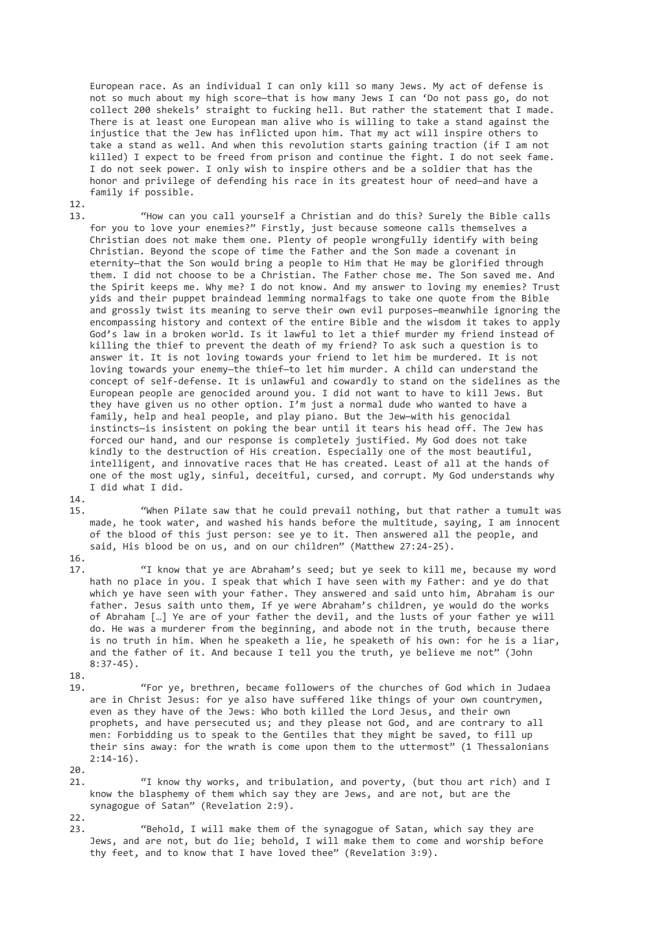European race. As an individual I can only kill so many Jews. My act of defense is not so much about my high score—that is how many Jews I can 'Do not pass go, do not collect 200 shekels' straight to fucking hell. But rather the statement that I made. There is at least one European man alive who is willing to take a stand against the injustice that the Jew has inflicted upon him. That my act will inspire others to take a stand as well. And when this revolution starts gaining traction (if I am not killed) I expect to be freed from prison and continue the fight. I do not seek fame. I do not seek power. I only wish to inspire others and be a soldier that has the honor and privilege of defending his race in its greatest hour of need—and have a family if possible.

12.

13. "How can you call yourself a Christian and do this? Surely the Bible calls for you to love your enemies?" Firstly, just because someone calls themselves a Christian does not make them one. Plenty of people wrongfully identify with being Christian. Beyond the scope of time the Father and the Son made a covenant in eternity—that the Son would bring a people to Him that He may be glorified through them. I did not choose to be a Christian. The Father chose me. The Son saved me. And the Spirit keeps me. Why me? I do not know. And my answer to loving my enemies? Trust yids and their puppet braindead lemming normalfags to take one quote from the Bible and grossly twist its meaning to serve their own evil purposes—meanwhile ignoring the encompassing history and context of the entire Bible and the wisdom it takes to apply God's law in a broken world. Is it lawful to let a thief murder my friend instead of killing the thief to prevent the death of my friend? To ask such a question is to answer it. It is not loving towards your friend to let him be murdered. It is not loving towards your enemy—the thief—to let him murder. A child can understand the concept of self-defense. It is unlawful and cowardly to stand on the sidelines as the European people are genocided around you. I did not want to have to kill Jews. But they have given us no other option. I'm just a normal dude who wanted to have a family, help and heal people, and play piano. But the Jew—with his genocidal instincts—is insistent on poking the bear until it tears his head off. The Jew has forced our hand, and our response is completely justified. My God does not take kindly to the destruction of His creation. Especially one of the most beautiful, intelligent, and innovative races that He has created. Least of all at the hands of one of the most ugly, sinful, deceitful, cursed, and corrupt. My God understands why I did what I did.

14.

15. "When Pilate saw that he could prevail nothing, but that rather a tumult was made, he took water, and washed his hands before the multitude, saying, I am innocent of the blood of this just person: see ye to it. Then answered all the people, and said, His blood be on us, and on our children" (Matthew 27:24-25).

16.

17. "I know that ye are Abraham's seed; but ye seek to kill me, because my word hath no place in you. I speak that which I have seen with my Father: and ye do that which ye have seen with your father. They answered and said unto him, Abraham is our father. Jesus saith unto them, If ye were Abraham's children, ye would do the works of Abraham […] Ye are of your father the devil, and the lusts of your father ye will do. He was a murderer from the beginning, and abode not in the truth, because there is no truth in him. When he speaketh a lie, he speaketh of his own: for he is a liar, and the father of it. And because I tell you the truth, ye believe me not" (John  $8:37-45$ ).

18.

19. "For ye, brethren, became followers of the churches of God which in Judaea are in Christ Jesus: for ye also have suffered like things of your own countrymen, even as they have of the Jews: Who both killed the Lord Jesus, and their own prophets, and have persecuted us; and they please not God, and are contrary to all men: Forbidding us to speak to the Gentiles that they might be saved, to fill up their sins away: for the wrath is come upon them to the uttermost" (1 Thessalonians  $2:14-16$ ).

 $20<sub>a</sub>$ 

21. "I know thy works, and tribulation, and poverty, (but thou art rich) and I know the blasphemy of them which say they are Jews, and are not, but are the synagogue of Satan" (Revelation 2:9).

 $22.$ 

<sup>23.</sup> "Behold, I will make them of the synagogue of Satan, which say they are Jews, and are not, but do lie; behold, I will make them to come and worship before thy feet, and to know that I have loved thee" (Revelation 3:9).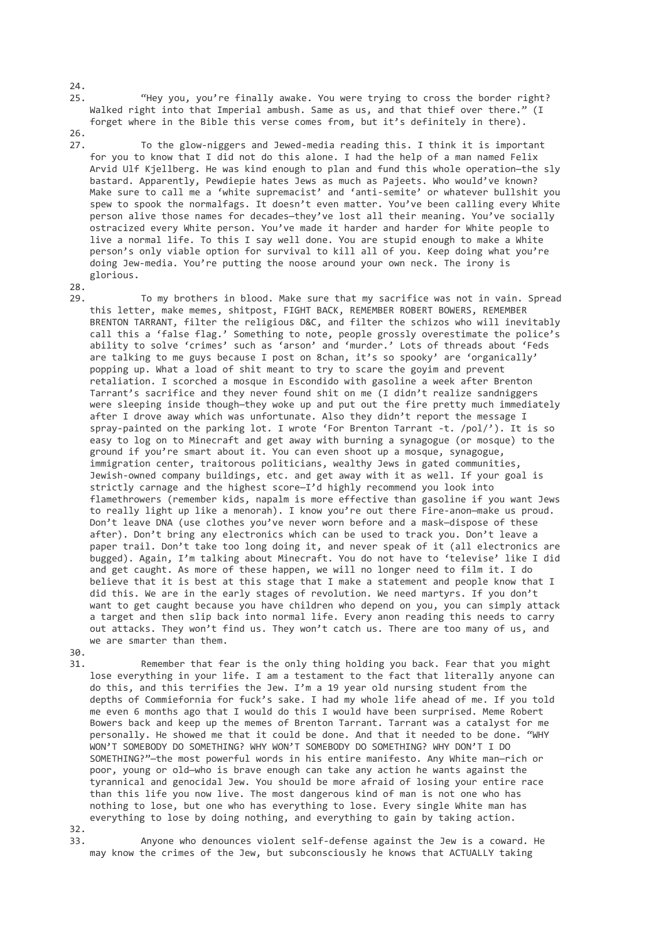25. "Hey you, you're finally awake. You were trying to cross the border right? Walked right into that Imperial ambush. Same as us, and that thief over there." (I forget where in the Bible this verse comes from, but it's definitely in there).

 $\frac{26}{27}$ .

 $24.$ 

To the glow-niggers and Jewed-media reading this. I think it is important for you to know that I did not do this alone. I had the help of a man named Felix Arvid Ulf Kjellberg. He was kind enough to plan and fund this whole operation—the sly bastard. Apparently, Pewdiepie hates Jews as much as Pajeets. Who would've known? Make sure to call me a 'white supremacist' and 'anti-semite' or whatever bullshit you spew to spook the normalfags. It doesn't even matter. You've been calling every White person alive those names for decades—they've lost all their meaning. You've socially ostracized every White person. You've made it harder and harder for White people to live a normal life. To this I say well done. You are stupid enough to make a White person's only viable option for survival to kill all of you. Keep doing what you're doing Jew-media. You're putting the noose around your own neck. The irony is glorious.

 $\frac{28}{29}$ .

To my brothers in blood. Make sure that my sacrifice was not in vain. Spread this letter, make memes, shitpost, FIGHT BACK, REMEMBER ROBERT BOWERS, REMEMBER BRENTON TARRANT, filter the religious D&C, and filter the schizos who will inevitably call this a 'false flag.' Something to note, people grossly overestimate the police's ability to solve 'crimes' such as 'arson' and 'murder.' Lots of threads about 'Feds are talking to me guys because I post on 8chan, it's so spooky' are 'organically' popping up. What a load of shit meant to try to scare the goyim and prevent retaliation. I scorched a mosque in Escondido with gasoline a week after Brenton Tarrant's sacrifice and they never found shit on me (I didn't realize sandniggers were sleeping inside though-they woke up and put out the fire pretty much immediately after I drove away which was unfortunate. Also they didn't report the message I spray-painted on the parking lot. I wrote 'For Brenton Tarrant -t. /pol/'). It is so easy to log on to Minecraft and get away with burning a synagogue (or mosque) to the ground if you're smart about it. You can even shoot up a mosque, synagogue, immigration center, traitorous politicians, wealthy Jews in gated communities, Jewish-owned company buildings, etc. and get away with it as well. If your goal is strictly carnage and the highest score—I'd highly recommend you look into flamethrowers (remember kids, napalm is more effective than gasoline if you want Jews to really light up like a menorah). I know you're out there Fire-anon—make us proud. Don't leave DNA (use clothes you've never worn before and a mask—dispose of these after). Don't bring any electronics which can be used to track you. Don't leave a paper trail. Don't take too long doing it, and never speak of it (all electronics are bugged). Again, I'm talking about Minecraft. You do not have to 'televise' like I did and get caught. As more of these happen, we will no longer need to film it. I do believe that it is best at this stage that I make a statement and people know that I did this. We are in the early stages of revolution. We need martyrs. If you don't want to get caught because you have children who depend on you, you can simply attack a target and then slip back into normal life. Every anon reading this needs to carry out attacks. They won't find us. They won't catch us. There are too many of us, and we are smarter than them.

30.

31. Remember that fear is the only thing holding you back. Fear that you might lose everything in your life. I am a testament to the fact that literally anyone can do this, and this terrifies the Jew. I'm a 19 year old nursing student from the depths of Commiefornia for fuck's sake. I had my whole life ahead of me. If you told me even 6 months ago that I would do this I would have been surprised. Meme Robert Bowers back and keep up the memes of Brenton Tarrant. Tarrant was a catalyst for me personally. He showed me that it could be done. And that it needed to be done. "WHY WON'T SOMEBODY DO SOMETHING? WHY WON'T SOMEBODY DO SOMETHING? WHY DON'T I DO SOMETHING?"—the most powerful words in his entire manifesto. Any White man—rich or poor, young or old—who is brave enough can take any action he wants against the tyrannical and genocidal Jew. You should be more afraid of losing your entire race than this life you now live. The most dangerous kind of man is not one who has nothing to lose, but one who has everything to lose. Every single White man has everything to lose by doing nothing, and everything to gain by taking action.

32.

33. Anyone who denounces violent self-defense against the Jew is a coward. He may know the crimes of the Jew, but subconsciously he knows that ACTUALLY taking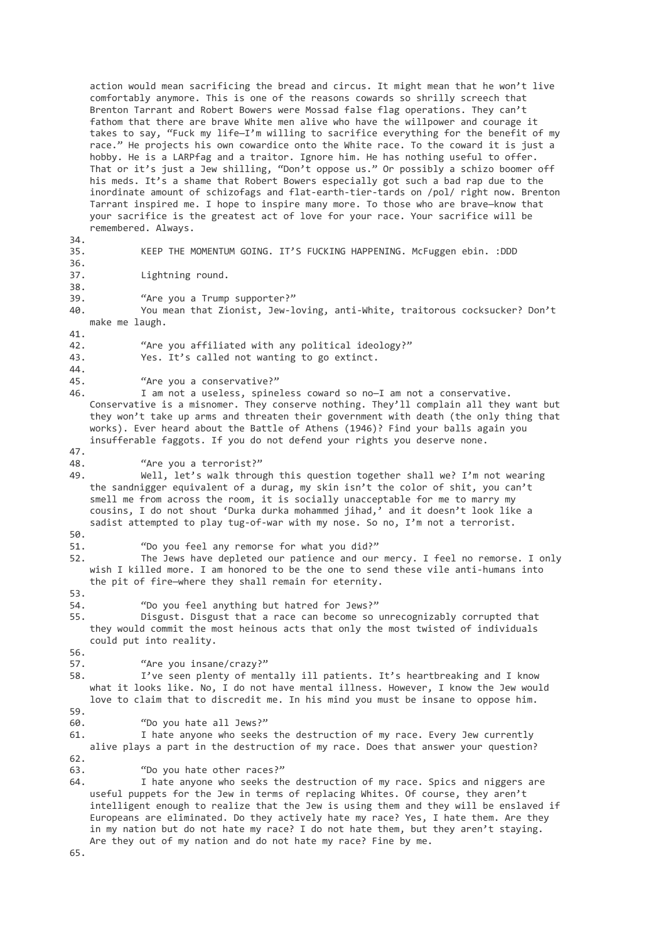action would mean sacrificing the bread and circus. It might mean that he won't live comfortably anymore. This is one of the reasons cowards so shrilly screech that Brenton Tarrant and Robert Bowers were Mossad false flag operations. They can't fathom that there are brave White men alive who have the willpower and courage it takes to say, "Fuck my life—I'm willing to sacrifice everything for the benefit of my race." He projects his own cowardice onto the White race. To the coward it is just a hobby. He is a LARPfag and a traitor. Ignore him. He has nothing useful to offer. That or it's just a Jew shilling, "Don't oppose us." Or possibly a schizo boomer off his meds. It's a shame that Robert Bowers especially got such a bad rap due to the inordinate amount of schizofags and flat-earth-tier-tards on /pol/ right now. Brenton Tarrant inspired me. I hope to inspire many more. To those who are brave—know that your sacrifice is the greatest act of love for your race. Your sacrifice will be remembered. Always. 34. 35. KEEP THE MOMENTUM GOING. IT'S FUCKING HAPPENING. McFuggen ebin. :DDD 36. 37. Lightning round. 38.<br>39. 39. "Are you a Trump supporter?"<br>40. You mean that Zionist, Jew-1 40. You mean that Zionist, Jew-loving, anti-White, traitorous cocksucker? Don't make me laugh. 41. 42. "Are you affiliated with any political ideology?" 43. Yes. It's called not wanting to go extinct.  $\frac{44}{45}$ . "Are you a conservative?" 46. I am not a useless, spineless coward so no—I am not a conservative. Conservative is a misnomer. They conserve nothing. They'll complain all they want but they won't take up arms and threaten their government with death (the only thing that works). Ever heard about the Battle of Athens (1946)? Find your balls again you insufferable faggots. If you do not defend your rights you deserve none. 47. 48. "Are you a terrorist?" 49. Well, let's walk through this question together shall we? I'm not wearing the sandnigger equivalent of a durag, my skin isn't the color of shit, you can't smell me from across the room, it is socially unacceptable for me to marry my cousins, I do not shout 'Durka durka mohammed jihad,' and it doesn't look like a sadist attempted to play tug-of-war with my nose. So no, I'm not a terrorist. 50.<br>51. "Do you feel any remorse for what you did?" 52. The Jews have depleted our patience and our mercy. I feel no remorse. I only wish I killed more. I am honored to be the one to send these vile anti-humans into the pit of fire—where they shall remain for eternity. 53. 54. "Do you feel anything but hatred for Jews?" 55. Disgust. Disgust that a race can become so unrecognizably corrupted that they would commit the most heinous acts that only the most twisted of individuals could put into reality. 56. 57. "Are you insane/crazy?" 58. I've seen plenty of mentally ill patients. It's heartbreaking and I know what it looks like. No, I do not have mental illness. However, I know the Jew would love to claim that to discredit me. In his mind you must be insane to oppose him. 59. "Do you hate all Jews?" 61. I hate anyone who seeks the destruction of my race. Every Jew currently alive plays a part in the destruction of my race. Does that answer your question?  $62.63.$ "Do you hate other races?" 64. I hate anyone who seeks the destruction of my race. Spics and niggers are useful puppets for the Jew in terms of replacing Whites. Of course, they aren't intelligent enough to realize that the Jew is using them and they will be enslaved if

Europeans are eliminated. Do they actively hate my race? Yes, I hate them. Are they in my nation but do not hate my race? I do not hate them, but they aren't staying. Are they out of my nation and do not hate my race? Fine by me.

65.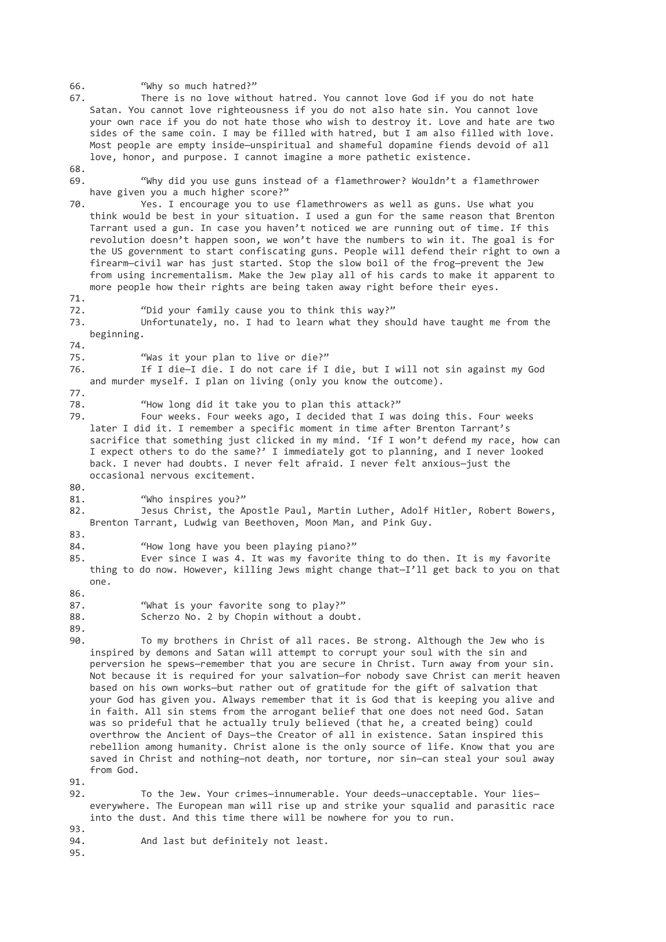66. "Why so much hatred?" There is no love without hatred. You cannot love God if you do not hate Satan. You cannot love righteousness if you do not also hate sin. You cannot love your own race if you do not hate those who wish to destroy it. Love and hate are two sides of the same coin. I may be filled with hatred, but I am also filled with love. Most people are empty inside—unspiritual and shameful dopamine fiends devoid of all love, honor, and purpose. I cannot imagine a more pathetic existence. 68. 69. "Why did you use guns instead of a flamethrower? Wouldn't a flamethrower have given you a much higher score?" 70. Yes. I encourage you to use flamethrowers as well as guns. Use what you think would be best in your situation. I used a gun for the same reason that Brenton Tarrant used a gun. In case you haven't noticed we are running out of time. If this revolution doesn't happen soon, we won't have the numbers to win it. The goal is for the US government to start confiscating guns. People will defend their right to own a firearm—civil war has just started. Stop the slow boil of the frog—prevent the Jew from using incrementalism. Make the Jew play all of his cards to make it apparent to more people how their rights are being taken away right before their eyes. 71. "Did your family cause you to think this way?" 73. Unfortunately, no. I had to learn what they should have taught me from the beginning. 74. 75. "Was it your plan to live or die?" 76. If I die—I die. I do not care if I die, but I will not sin against my God and murder myself. I plan on living (only you know the outcome). 77. 78. "How long did it take you to plan this attack?" 79. Four weeks. Four weeks ago, I decided that I was doing this. Four weeks later I did it. I remember a specific moment in time after Brenton Tarrant's sacrifice that something just clicked in my mind. 'If I won't defend my race, how can I expect others to do the same?' I immediately got to planning, and I never looked back. I never had doubts. I never felt afraid. I never felt anxious—just the occasional nervous excitement. 80. 81. "Who inspires you?" 82. Jesus Christ, the Apostle Paul, Martin Luther, Adolf Hitler, Robert Bowers, Brenton Tarrant, Ludwig van Beethoven, Moon Man, and Pink Guy. 83. 84. "How long have you been playing piano?" 85. Ever since I was 4. It was my favorite thing to do then. It is my favorite thing to do now. However, killing Jews might change that—I'll get back to you on that one. 86.<br>87 "What is your favorite song to play?" 88. Scherzo No. 2 by Chopin without a doubt. 89. 90. To my brothers in Christ of all races. Be strong. Although the Jew who is inspired by demons and Satan will attempt to corrupt your soul with the sin and perversion he spews—remember that you are secure in Christ. Turn away from your sin. Not because it is required for your salvation—for nobody save Christ can merit heaven based on his own works—but rather out of gratitude for the gift of salvation that your God has given you. Always remember that it is God that is keeping you alive and in faith. All sin stems from the arrogant belief that one does not need God. Satan was so prideful that he actually truly believed (that he, a created being) could overthrow the Ancient of Days—the Creator of all in existence. Satan inspired this rebellion among humanity. Christ alone is the only source of life. Know that you are saved in Christ and nothing—not death, nor torture, nor sin—can steal your soul away from God. 91. 92. To the Jew. Your crimes—innumerable. Your deeds—unacceptable. Your lies everywhere. The European man will rise up and strike your squalid and parasitic race into the dust. And this time there will be nowhere for you to run. 93.

- 94. And last but definitely not least.
- 95.
-